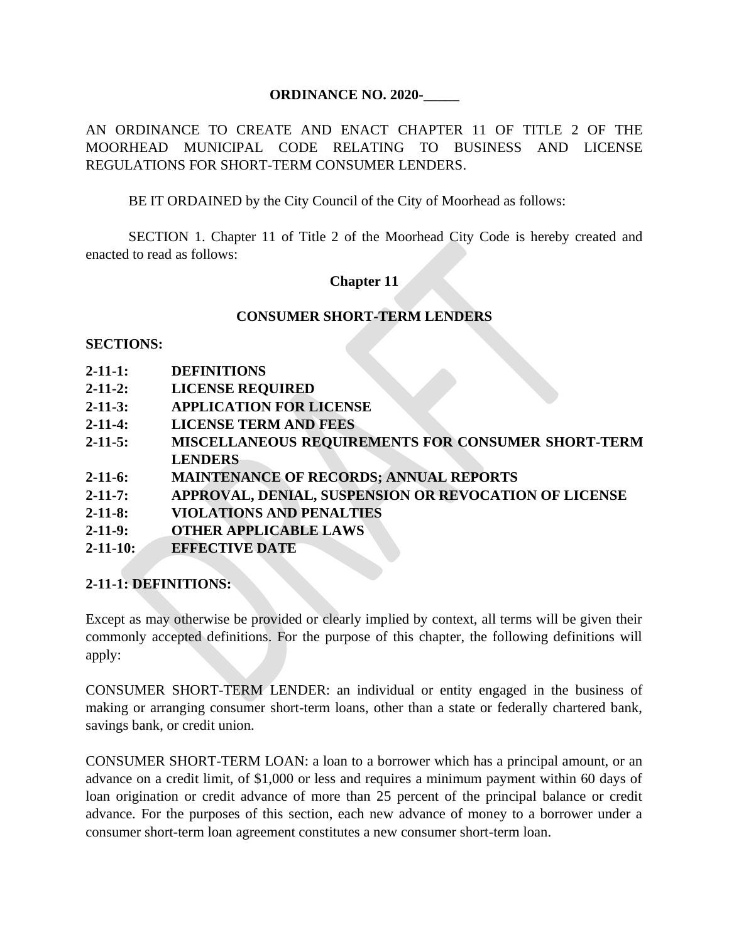#### **ORDINANCE NO. 2020-\_\_\_\_\_**

AN ORDINANCE TO CREATE AND ENACT CHAPTER 11 OF TITLE 2 OF THE MOORHEAD MUNICIPAL CODE RELATING TO BUSINESS AND LICENSE REGULATIONS FOR SHORT-TERM CONSUMER LENDERS.

BE IT ORDAINED by the City Council of the City of Moorhead as follows:

SECTION 1. Chapter 11 of Title 2 of the Moorhead City Code is hereby created and enacted to read as follows:

### **Chapter 11**

#### **CONSUMER SHORT-TERM LENDERS**

#### **SECTIONS:**

- **2-11-1: DEFINITIONS**
- **2-11-2: LICENSE REQUIRED**
- **2-11-3: APPLICATION FOR LICENSE**
- **2-11-4: LICENSE TERM AND FEES**
- **2-11-5: MISCELLANEOUS REQUIREMENTS FOR CONSUMER SHORT-TERM LENDERS**
- **2-11-6: MAINTENANCE OF RECORDS; ANNUAL REPORTS**
- **2-11-7: APPROVAL, DENIAL, SUSPENSION OR REVOCATION OF LICENSE**
- **2-11-8: VIOLATIONS AND PENALTIES**
- **2-11-9: OTHER APPLICABLE LAWS**
- **2-11-10: EFFECTIVE DATE**

### **2-11-1: DEFINITIONS:**

Except as may otherwise be provided or clearly implied by context, all terms will be given their commonly accepted definitions. For the purpose of this chapter, the following definitions will apply:

CONSUMER SHORT-TERM LENDER: an individual or entity engaged in the business of making or arranging consumer short-term loans, other than a state or federally chartered bank, savings bank, or credit union.

CONSUMER SHORT-TERM LOAN: a loan to a borrower which has a principal amount, or an advance on a credit limit, of \$1,000 or less and requires a minimum payment within 60 days of loan origination or credit advance of more than 25 percent of the principal balance or credit advance. For the purposes of this section, each new advance of money to a borrower under a consumer short-term loan agreement constitutes a new consumer short-term loan.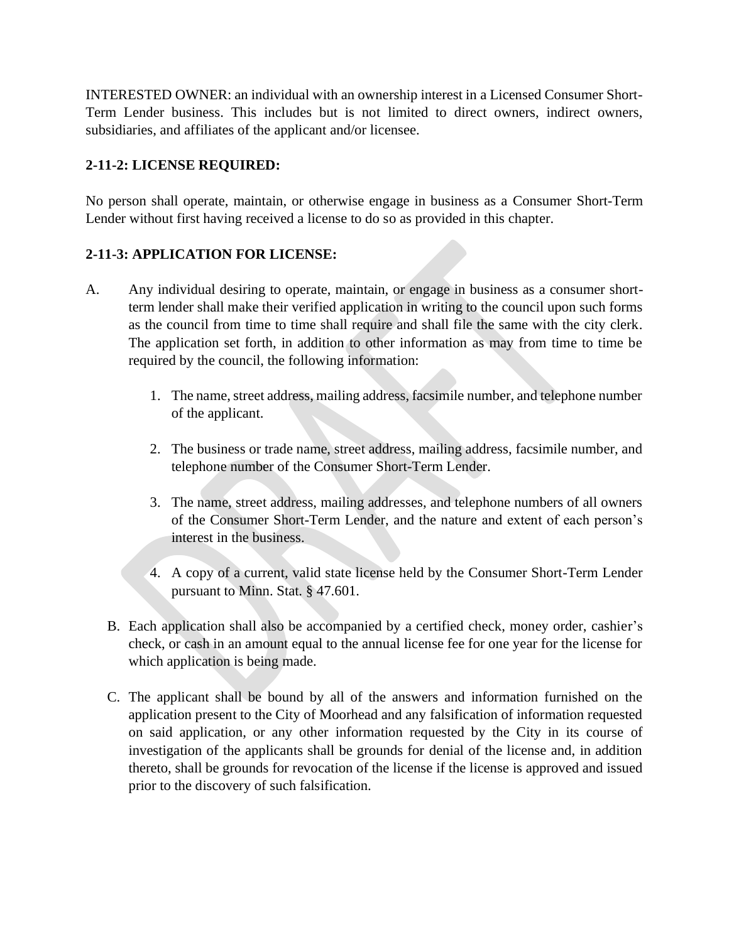INTERESTED OWNER: an individual with an ownership interest in a Licensed Consumer Short-Term Lender business. This includes but is not limited to direct owners, indirect owners, subsidiaries, and affiliates of the applicant and/or licensee.

## **2-11-2: LICENSE REQUIRED:**

No person shall operate, maintain, or otherwise engage in business as a Consumer Short-Term Lender without first having received a license to do so as provided in this chapter.

## **2-11-3: APPLICATION FOR LICENSE:**

- A. Any individual desiring to operate, maintain, or engage in business as a consumer shortterm lender shall make their verified application in writing to the council upon such forms as the council from time to time shall require and shall file the same with the city clerk. The application set forth, in addition to other information as may from time to time be required by the council, the following information:
	- 1. The name, street address, mailing address, facsimile number, and telephone number of the applicant.
	- 2. The business or trade name, street address, mailing address, facsimile number, and telephone number of the Consumer Short-Term Lender.
	- 3. The name, street address, mailing addresses, and telephone numbers of all owners of the Consumer Short-Term Lender, and the nature and extent of each person's interest in the business.
	- 4. A copy of a current, valid state license held by the Consumer Short-Term Lender pursuant to Minn. Stat. § 47.601.
	- B. Each application shall also be accompanied by a certified check, money order, cashier's check, or cash in an amount equal to the annual license fee for one year for the license for which application is being made.
	- C. The applicant shall be bound by all of the answers and information furnished on the application present to the City of Moorhead and any falsification of information requested on said application, or any other information requested by the City in its course of investigation of the applicants shall be grounds for denial of the license and, in addition thereto, shall be grounds for revocation of the license if the license is approved and issued prior to the discovery of such falsification.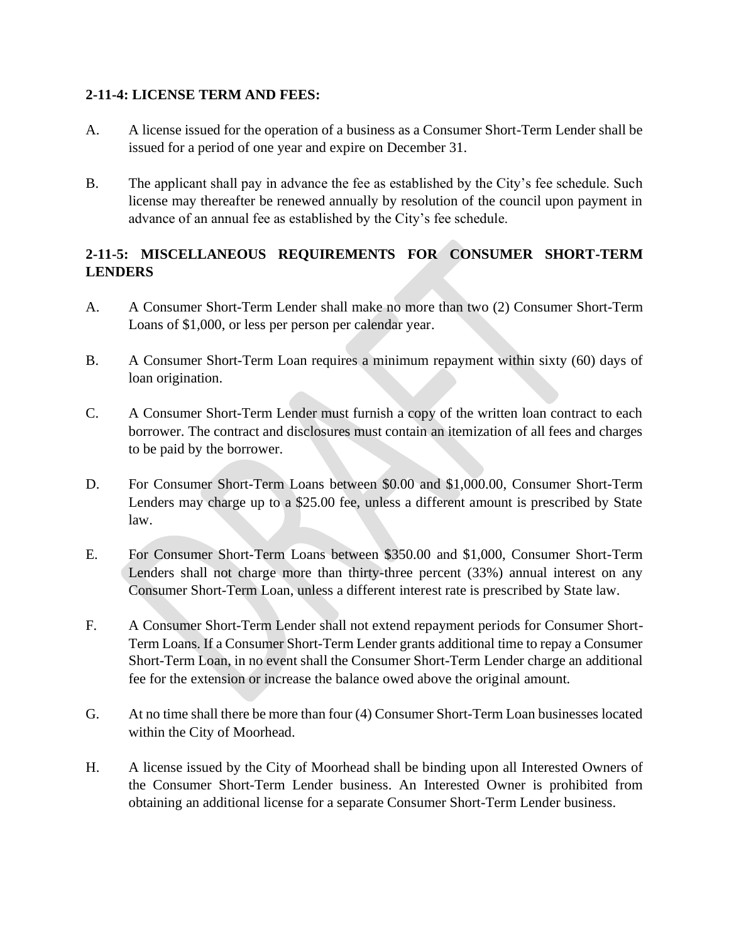### **2-11-4: LICENSE TERM AND FEES:**

- A. A license issued for the operation of a business as a Consumer Short-Term Lender shall be issued for a period of one year and expire on December 31.
- B. The applicant shall pay in advance the fee as established by the City's fee schedule. Such license may thereafter be renewed annually by resolution of the council upon payment in advance of an annual fee as established by the City's fee schedule.

# **2-11-5: MISCELLANEOUS REQUIREMENTS FOR CONSUMER SHORT-TERM LENDERS**

- A. A Consumer Short-Term Lender shall make no more than two (2) Consumer Short-Term Loans of \$1,000, or less per person per calendar year.
- B. A Consumer Short-Term Loan requires a minimum repayment within sixty (60) days of loan origination.
- C. A Consumer Short-Term Lender must furnish a copy of the written loan contract to each borrower. The contract and disclosures must contain an itemization of all fees and charges to be paid by the borrower.
- D. For Consumer Short-Term Loans between \$0.00 and \$1,000.00, Consumer Short-Term Lenders may charge up to a \$25.00 fee, unless a different amount is prescribed by State law.
- E. For Consumer Short-Term Loans between \$350.00 and \$1,000, Consumer Short-Term Lenders shall not charge more than thirty-three percent (33%) annual interest on any Consumer Short-Term Loan, unless a different interest rate is prescribed by State law.
- F. A Consumer Short-Term Lender shall not extend repayment periods for Consumer Short-Term Loans. If a Consumer Short-Term Lender grants additional time to repay a Consumer Short-Term Loan, in no event shall the Consumer Short-Term Lender charge an additional fee for the extension or increase the balance owed above the original amount.
- G. At no time shall there be more than four (4) Consumer Short-Term Loan businesses located within the City of Moorhead.
- H. A license issued by the City of Moorhead shall be binding upon all Interested Owners of the Consumer Short-Term Lender business. An Interested Owner is prohibited from obtaining an additional license for a separate Consumer Short-Term Lender business.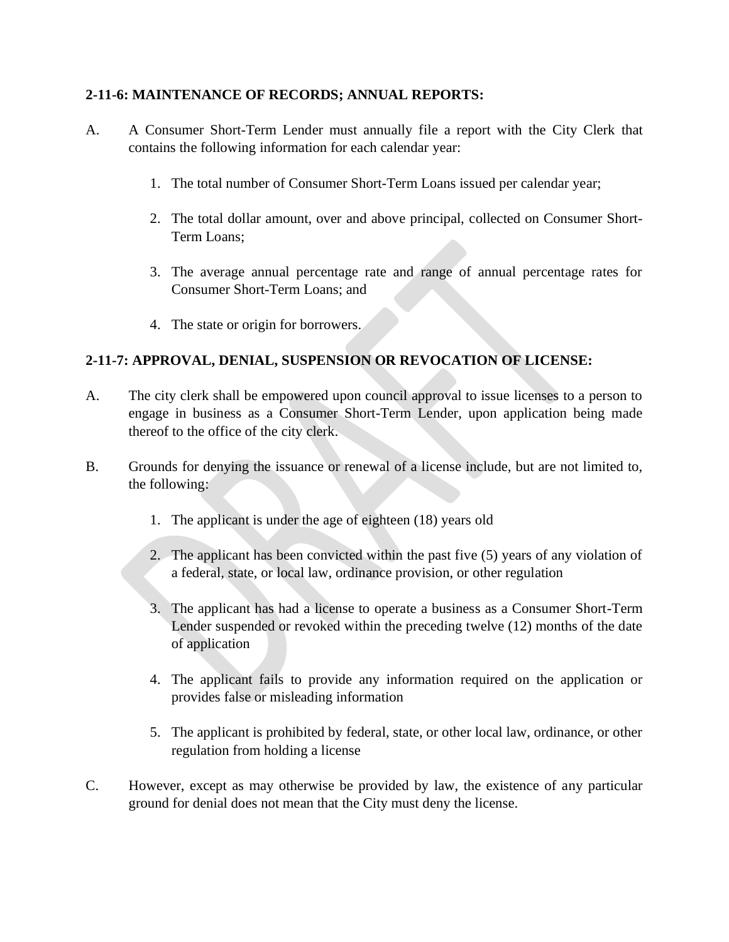### **2-11-6: MAINTENANCE OF RECORDS; ANNUAL REPORTS:**

- A. A Consumer Short-Term Lender must annually file a report with the City Clerk that contains the following information for each calendar year:
	- 1. The total number of Consumer Short-Term Loans issued per calendar year;
	- 2. The total dollar amount, over and above principal, collected on Consumer Short-Term Loans;
	- 3. The average annual percentage rate and range of annual percentage rates for Consumer Short-Term Loans; and
	- 4. The state or origin for borrowers.

# **2-11-7: APPROVAL, DENIAL, SUSPENSION OR REVOCATION OF LICENSE:**

- A. The city clerk shall be empowered upon council approval to issue licenses to a person to engage in business as a Consumer Short-Term Lender, upon application being made thereof to the office of the city clerk.
- B. Grounds for denying the issuance or renewal of a license include, but are not limited to, the following:
	- 1. The applicant is under the age of eighteen (18) years old
	- 2. The applicant has been convicted within the past five (5) years of any violation of a federal, state, or local law, ordinance provision, or other regulation
	- 3. The applicant has had a license to operate a business as a Consumer Short-Term Lender suspended or revoked within the preceding twelve (12) months of the date of application
	- 4. The applicant fails to provide any information required on the application or provides false or misleading information
	- 5. The applicant is prohibited by federal, state, or other local law, ordinance, or other regulation from holding a license
- C. However, except as may otherwise be provided by law, the existence of any particular ground for denial does not mean that the City must deny the license.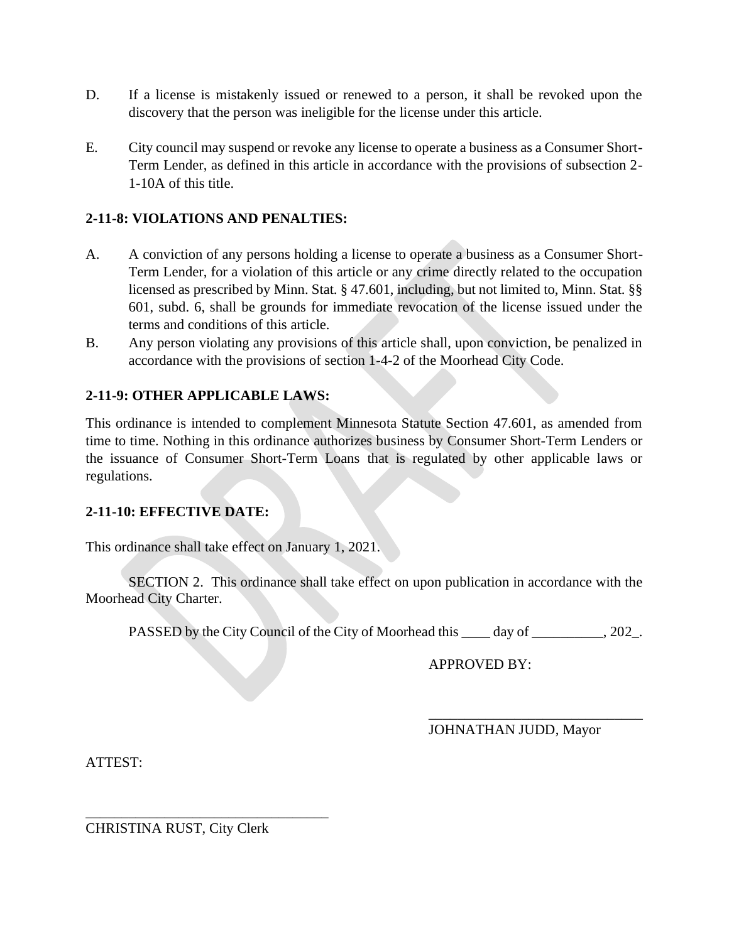- D. If a license is mistakenly issued or renewed to a person, it shall be revoked upon the discovery that the person was ineligible for the license under this article.
- E. City council may suspend or revoke any license to operate a business as a Consumer Short-Term Lender, as defined in this article in accordance with the provisions of subsection 2- 1-10A of this title.

# **2-11-8: VIOLATIONS AND PENALTIES:**

- A. A conviction of any persons holding a license to operate a business as a Consumer Short-Term Lender, for a violation of this article or any crime directly related to the occupation licensed as prescribed by Minn. Stat. § 47.601, including, but not limited to, Minn. Stat. §§ 601, subd. 6, shall be grounds for immediate revocation of the license issued under the terms and conditions of this article.
- B. Any person violating any provisions of this article shall, upon conviction, be penalized in accordance with the provisions of section 1-4-2 of the Moorhead City Code.

## **2-11-9: OTHER APPLICABLE LAWS:**

This ordinance is intended to complement Minnesota Statute Section 47.601, as amended from time to time. Nothing in this ordinance authorizes business by Consumer Short-Term Lenders or the issuance of Consumer Short-Term Loans that is regulated by other applicable laws or regulations.

### **2-11-10: EFFECTIVE DATE:**

This ordinance shall take effect on January 1, 2021.

SECTION 2. This ordinance shall take effect on upon publication in accordance with the Moorhead City Charter.

PASSED by the City Council of the City of Moorhead this \_\_\_\_ day of \_\_\_\_\_\_\_\_, 202\_.

APPROVED BY:

JOHNATHAN JUDD, Mayor

\_\_\_\_\_\_\_\_\_\_\_\_\_\_\_\_\_\_\_\_\_\_\_\_\_\_\_\_\_\_

ATTEST:

CHRISTINA RUST, City Clerk

\_\_\_\_\_\_\_\_\_\_\_\_\_\_\_\_\_\_\_\_\_\_\_\_\_\_\_\_\_\_\_\_\_\_